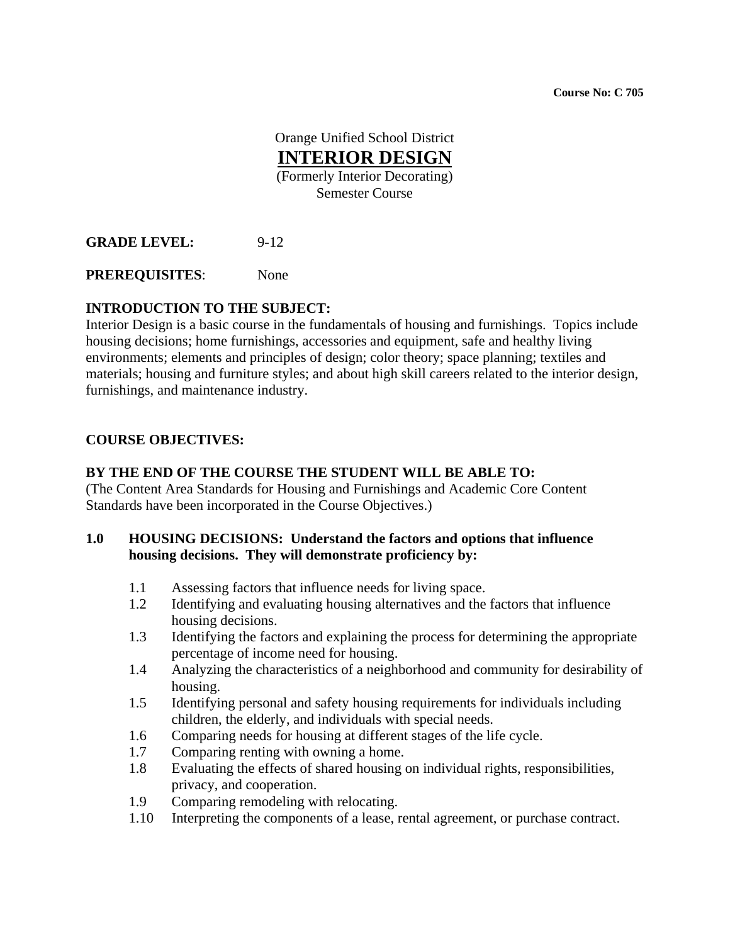**Course No: C 705** 

Orange Unified School District **INTERIOR DESIGN** (Formerly Interior Decorating) Semester Course

**GRADE LEVEL:** 9-12

**PREREQUISITES**: None

# **INTRODUCTION TO THE SUBJECT:**

Interior Design is a basic course in the fundamentals of housing and furnishings. Topics include housing decisions; home furnishings, accessories and equipment, safe and healthy living environments; elements and principles of design; color theory; space planning; textiles and materials; housing and furniture styles; and about high skill careers related to the interior design, furnishings, and maintenance industry.

### **COURSE OBJECTIVES:**

### **BY THE END OF THE COURSE THE STUDENT WILL BE ABLE TO:**

(The Content Area Standards for Housing and Furnishings and Academic Core Content Standards have been incorporated in the Course Objectives.)

#### **1.0 HOUSING DECISIONS: Understand the factors and options that influence housing decisions. They will demonstrate proficiency by:**

- 1.1 Assessing factors that influence needs for living space.
- 1.2 Identifying and evaluating housing alternatives and the factors that influence housing decisions.
- 1.3 Identifying the factors and explaining the process for determining the appropriate percentage of income need for housing.
- 1.4 Analyzing the characteristics of a neighborhood and community for desirability of housing.
- 1.5 Identifying personal and safety housing requirements for individuals including children, the elderly, and individuals with special needs.
- 1.6 Comparing needs for housing at different stages of the life cycle.
- 1.7 Comparing renting with owning a home.
- 1.8 Evaluating the effects of shared housing on individual rights, responsibilities, privacy, and cooperation.
- 1.9 Comparing remodeling with relocating.
- 1.10 Interpreting the components of a lease, rental agreement, or purchase contract.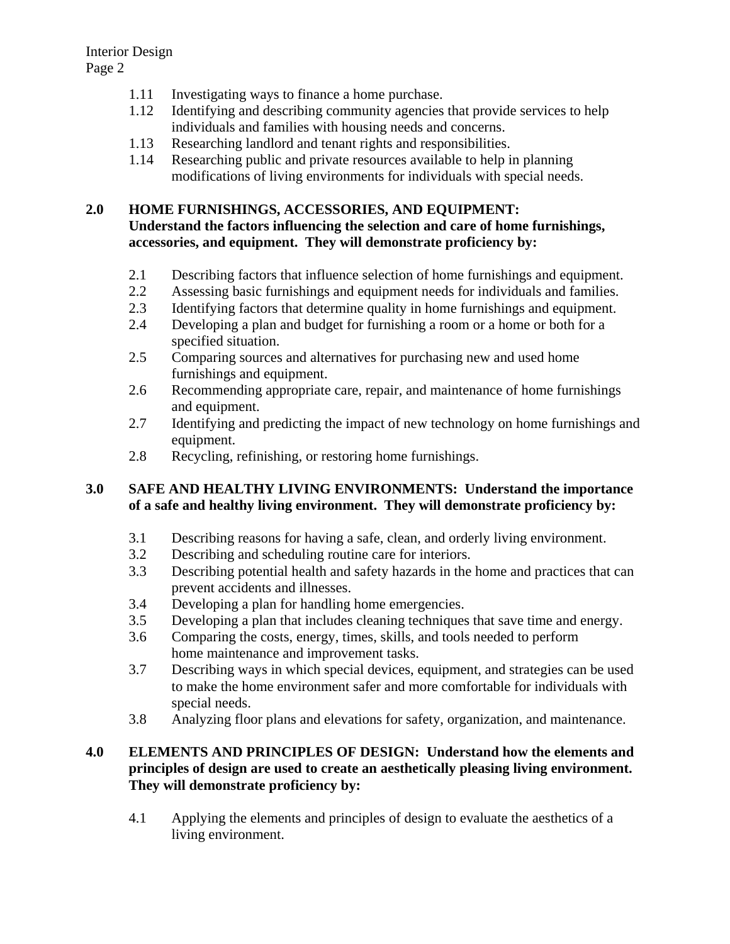- 1.11 Investigating ways to finance a home purchase.
- 1.12 Identifying and describing community agencies that provide services to help individuals and families with housing needs and concerns.
- 1.13 Researching landlord and tenant rights and responsibilities.
- 1.14 Researching public and private resources available to help in planning modifications of living environments for individuals with special needs.

### **2.0 HOME FURNISHINGS, ACCESSORIES, AND EQUIPMENT:**

### **Understand the factors influencing the selection and care of home furnishings, accessories, and equipment. They will demonstrate proficiency by:**

- 2.1 Describing factors that influence selection of home furnishings and equipment.
- 2.2 Assessing basic furnishings and equipment needs for individuals and families.
- 2.3 Identifying factors that determine quality in home furnishings and equipment.
- 2.4 Developing a plan and budget for furnishing a room or a home or both for a specified situation.
- 2.5 Comparing sources and alternatives for purchasing new and used home furnishings and equipment.
- 2.6 Recommending appropriate care, repair, and maintenance of home furnishings and equipment.
- 2.7 Identifying and predicting the impact of new technology on home furnishings and equipment.
- 2.8 Recycling, refinishing, or restoring home furnishings.

### **3.0 SAFE AND HEALTHY LIVING ENVIRONMENTS: Understand the importance of a safe and healthy living environment. They will demonstrate proficiency by:**

- 3.1 Describing reasons for having a safe, clean, and orderly living environment.
- 3.2 Describing and scheduling routine care for interiors.
- 3.3 Describing potential health and safety hazards in the home and practices that can prevent accidents and illnesses.
- 3.4 Developing a plan for handling home emergencies.
- 3.5 Developing a plan that includes cleaning techniques that save time and energy.
- 3.6 Comparing the costs, energy, times, skills, and tools needed to perform home maintenance and improvement tasks.
- 3.7 Describing ways in which special devices, equipment, and strategies can be used to make the home environment safer and more comfortable for individuals with special needs.
- 3.8 Analyzing floor plans and elevations for safety, organization, and maintenance.

### **4.0 ELEMENTS AND PRINCIPLES OF DESIGN: Understand how the elements and principles of design are used to create an aesthetically pleasing living environment. They will demonstrate proficiency by:**

4.1 Applying the elements and principles of design to evaluate the aesthetics of a living environment.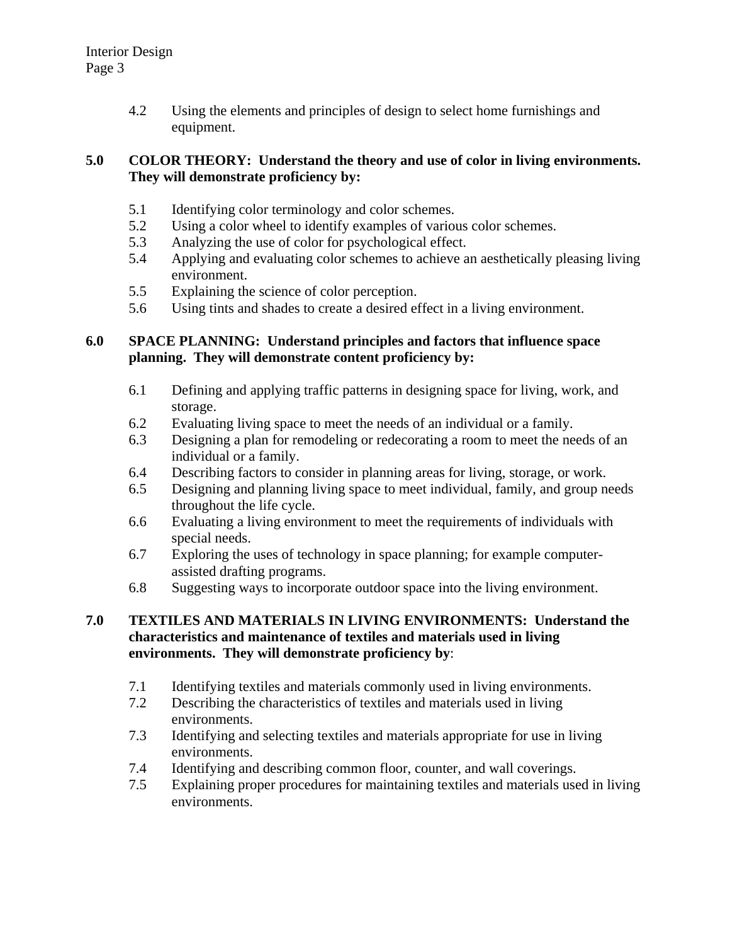4.2 Using the elements and principles of design to select home furnishings and equipment.

### **5.0 COLOR THEORY: Understand the theory and use of color in living environments. They will demonstrate proficiency by:**

- 5.1 Identifying color terminology and color schemes.
- 5.2 Using a color wheel to identify examples of various color schemes.
- 5.3 Analyzing the use of color for psychological effect.
- 5.4 Applying and evaluating color schemes to achieve an aesthetically pleasing living environment.
- 5.5 Explaining the science of color perception.
- 5.6 Using tints and shades to create a desired effect in a living environment.

### **6.0 SPACE PLANNING: Understand principles and factors that influence space planning. They will demonstrate content proficiency by:**

- 6.1 Defining and applying traffic patterns in designing space for living, work, and storage.
- 6.2 Evaluating living space to meet the needs of an individual or a family.
- 6.3 Designing a plan for remodeling or redecorating a room to meet the needs of an individual or a family.
- 6.4 Describing factors to consider in planning areas for living, storage, or work.
- 6.5 Designing and planning living space to meet individual, family, and group needs throughout the life cycle.
- 6.6 Evaluating a living environment to meet the requirements of individuals with special needs.
- 6.7 Exploring the uses of technology in space planning; for example computerassisted drafting programs.
- 6.8 Suggesting ways to incorporate outdoor space into the living environment.

#### **7.0 TEXTILES AND MATERIALS IN LIVING ENVIRONMENTS: Understand the characteristics and maintenance of textiles and materials used in living environments. They will demonstrate proficiency by**:

- 7.1 Identifying textiles and materials commonly used in living environments.
- 7.2 Describing the characteristics of textiles and materials used in living environments.
- 7.3 Identifying and selecting textiles and materials appropriate for use in living environments.
- 7.4 Identifying and describing common floor, counter, and wall coverings.
- 7.5 Explaining proper procedures for maintaining textiles and materials used in living environments.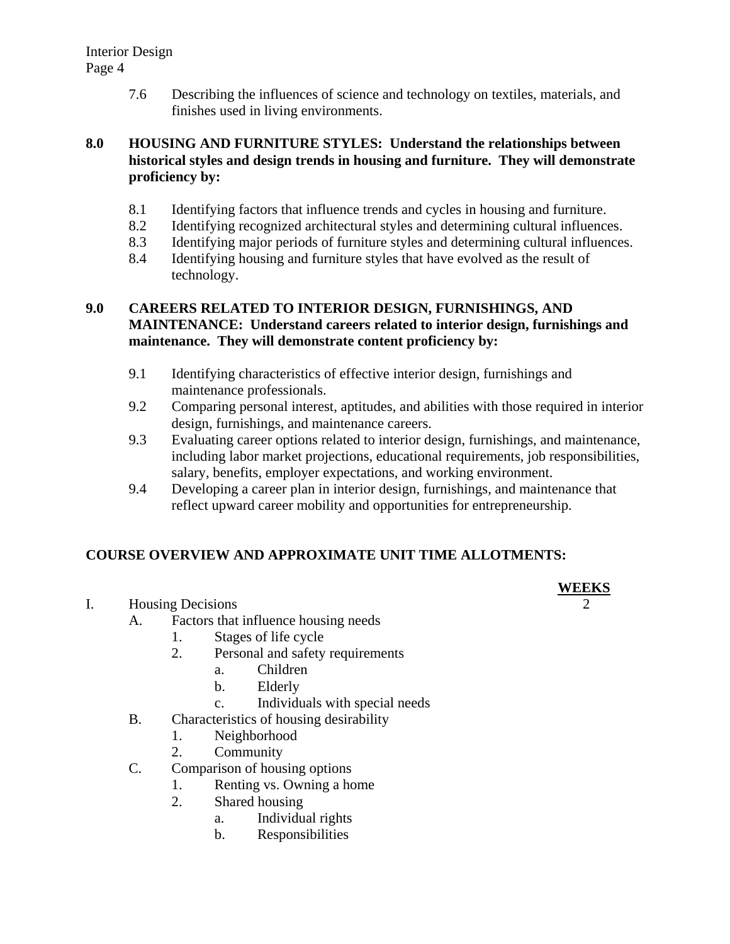7.6 Describing the influences of science and technology on textiles, materials, and finishes used in living environments.

#### **8.0 HOUSING AND FURNITURE STYLES: Understand the relationships between historical styles and design trends in housing and furniture. They will demonstrate proficiency by:**

- 8.1 Identifying factors that influence trends and cycles in housing and furniture.
- 8.2 Identifying recognized architectural styles and determining cultural influences.
- 8.3 Identifying major periods of furniture styles and determining cultural influences.
- 8.4 Identifying housing and furniture styles that have evolved as the result of technology.

### **9.0 CAREERS RELATED TO INTERIOR DESIGN, FURNISHINGS, AND MAINTENANCE: Understand careers related to interior design, furnishings and maintenance. They will demonstrate content proficiency by:**

- 9.1 Identifying characteristics of effective interior design, furnishings and maintenance professionals.
- 9.2 Comparing personal interest, aptitudes, and abilities with those required in interior design, furnishings, and maintenance careers.
- 9.3 Evaluating career options related to interior design, furnishings, and maintenance, including labor market projections, educational requirements, job responsibilities, salary, benefits, employer expectations, and working environment.
- 9.4 Developing a career plan in interior design, furnishings, and maintenance that reflect upward career mobility and opportunities for entrepreneurship.

# **COURSE OVERVIEW AND APPROXIMATE UNIT TIME ALLOTMENTS:**

- **WEEKS** I. Housing Decisions
	- A. Factors that influence housing needs
		- 1. Stages of life cycle
		- 2. Personal and safety requirements
			- a. Children
			- b. Elderly
			- c. Individuals with special needs
	- B. Characteristics of housing desirability
		- 1. Neighborhood
		- 2. Community
	- C. Comparison of housing options
		- 1. Renting vs. Owning a home
		- 2. Shared housing
			- a. Individual rights
			- b. Responsibilities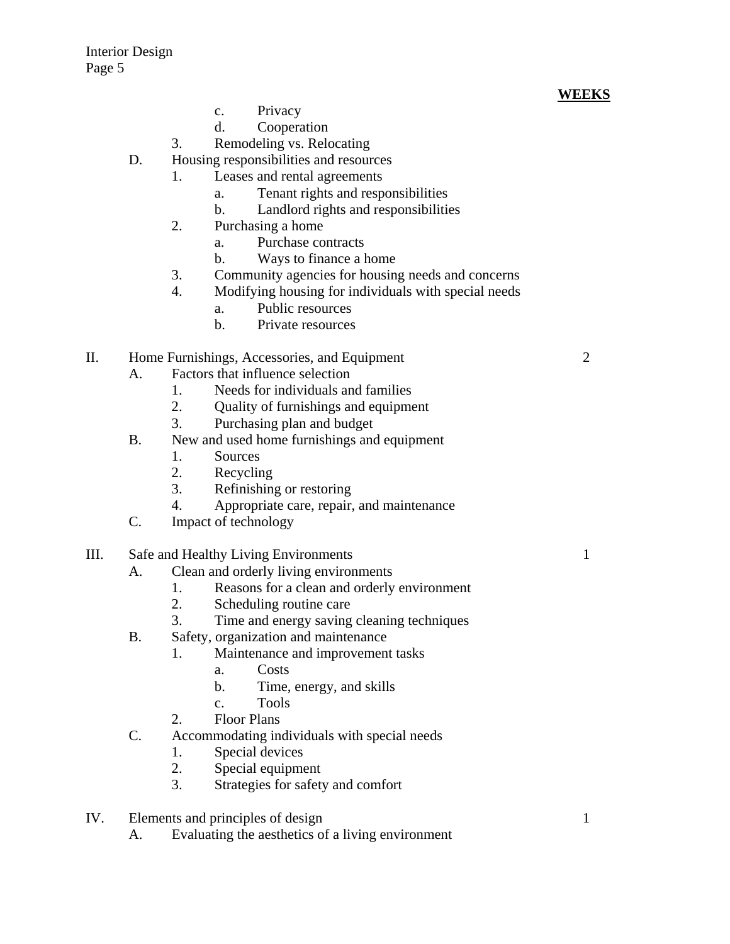### **WEEKS**

- c. Privacy
- d. Cooperation
- 3. Remodeling vs. Relocating
- D. Housing responsibilities and resources
	- 1. Leases and rental agreements
		- a. Tenant rights and responsibilities
		- b. Landlord rights and responsibilities
	- 2. Purchasing a home
		- a. Purchase contracts
		- b. Ways to finance a home
	- 3. Community agencies for housing needs and concerns
	- 4. Modifying housing for individuals with special needs
		- a. Public resources
		- b. Private resources

#### II. Home Furnishings, Accessories, and Equipment 2

- A. Factors that influence selection
	- 1. Needs for individuals and families
	- 2. Quality of furnishings and equipment
	- 3. Purchasing plan and budget
- B. New and used home furnishings and equipment
	- 1. Sources
	- 2. Recycling
	- 3. Refinishing or restoring
	- 4. Appropriate care, repair, and maintenance
- C. Impact of technology
- III. Safe and Healthy Living Environments 1
	- A. Clean and orderly living environments
		- 1. Reasons for a clean and orderly environment
		- 2. Scheduling routine care
		- 3. Time and energy saving cleaning techniques
	- B. Safety, organization and maintenance
		- 1. Maintenance and improvement tasks
			- a. Costs
			- b. Time, energy, and skills
			- c. Tools
		- 2. Floor Plans
	- C. Accommodating individuals with special needs
		- 1. Special devices
		- 2. Special equipment
		- 3. Strategies for safety and comfort
- IV. Elements and principles of design 1
	- A. Evaluating the aesthetics of a living environment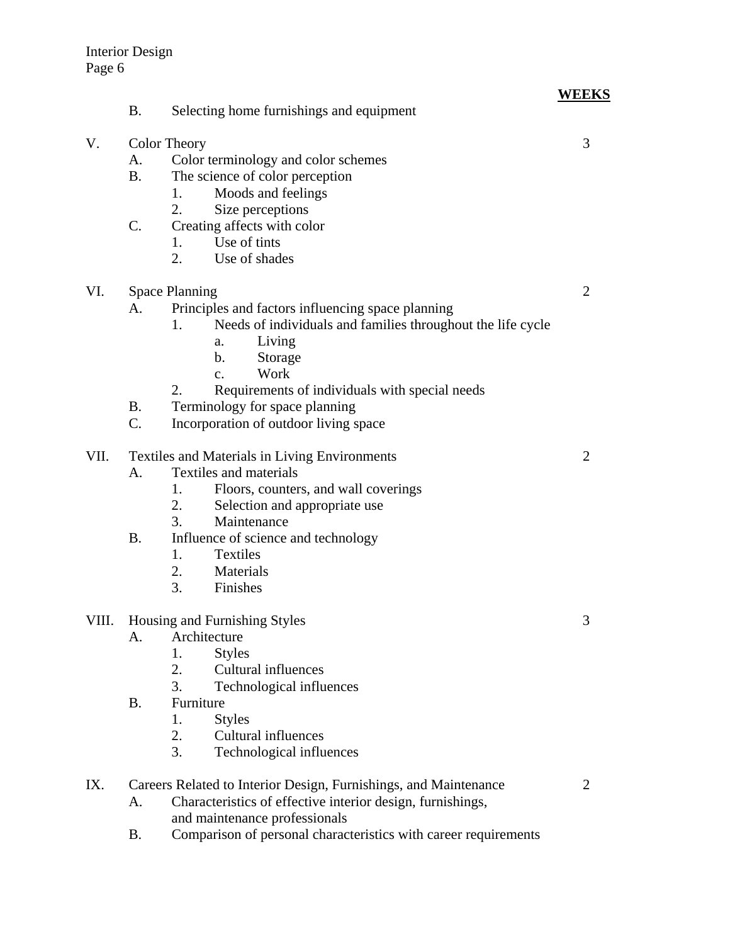|       |                                                                  |                                                                   | <b>WEEKS</b> |
|-------|------------------------------------------------------------------|-------------------------------------------------------------------|--------------|
|       | <b>B.</b>                                                        | Selecting home furnishings and equipment                          |              |
| V.    | <b>Color Theory</b>                                              |                                                                   | 3            |
|       | A.                                                               | Color terminology and color schemes                               |              |
|       | <b>B.</b>                                                        | The science of color perception                                   |              |
|       |                                                                  | Moods and feelings<br>1.                                          |              |
|       |                                                                  | 2.<br>Size perceptions                                            |              |
|       | $\mathcal{C}$ .                                                  | Creating affects with color                                       |              |
|       |                                                                  | Use of tints<br>1.                                                |              |
|       |                                                                  | 2.<br>Use of shades                                               |              |
| VI.   | <b>Space Planning</b>                                            |                                                                   | 2            |
|       | A.                                                               | Principles and factors influencing space planning                 |              |
|       |                                                                  | Needs of individuals and families throughout the life cycle<br>1. |              |
|       |                                                                  | Living<br>a.                                                      |              |
|       |                                                                  | Storage<br>$\mathbf b$ .                                          |              |
|       |                                                                  | Work<br>$\mathbf{c}$ .                                            |              |
|       |                                                                  | Requirements of individuals with special needs<br>2.              |              |
|       | <b>B.</b>                                                        | Terminology for space planning                                    |              |
|       | C.                                                               | Incorporation of outdoor living space                             |              |
|       |                                                                  |                                                                   |              |
| VII.  | <b>Textiles and Materials in Living Environments</b>             |                                                                   | 2            |
|       | A.                                                               | Textiles and materials                                            |              |
|       |                                                                  | Floors, counters, and wall coverings<br>1.                        |              |
|       |                                                                  | 2.<br>Selection and appropriate use                               |              |
|       |                                                                  | 3.<br>Maintenance                                                 |              |
|       | <b>B.</b>                                                        | Influence of science and technology                               |              |
|       |                                                                  | 1.<br><b>Textiles</b>                                             |              |
|       |                                                                  | 2.<br>Materials                                                   |              |
|       |                                                                  | 3.<br>Finishes                                                    |              |
| VIII. | Housing and Furnishing Styles                                    |                                                                   | 3            |
|       | A.                                                               | Architecture                                                      |              |
|       |                                                                  | <b>Styles</b><br>1.                                               |              |
|       |                                                                  | 2.<br><b>Cultural influences</b>                                  |              |
|       |                                                                  | 3.<br>Technological influences                                    |              |
|       | <b>B.</b>                                                        | Furniture                                                         |              |
|       |                                                                  | 1.<br><b>Styles</b>                                               |              |
|       |                                                                  | 2.<br><b>Cultural influences</b>                                  |              |
|       |                                                                  | 3.<br>Technological influences                                    |              |
| IX.   | Careers Related to Interior Design, Furnishings, and Maintenance |                                                                   | 2            |
|       | A.                                                               | Characteristics of effective interior design, furnishings,        |              |
|       |                                                                  | and maintenance professionals                                     |              |
|       |                                                                  |                                                                   |              |

B. Comparison of personal characteristics with career requirements